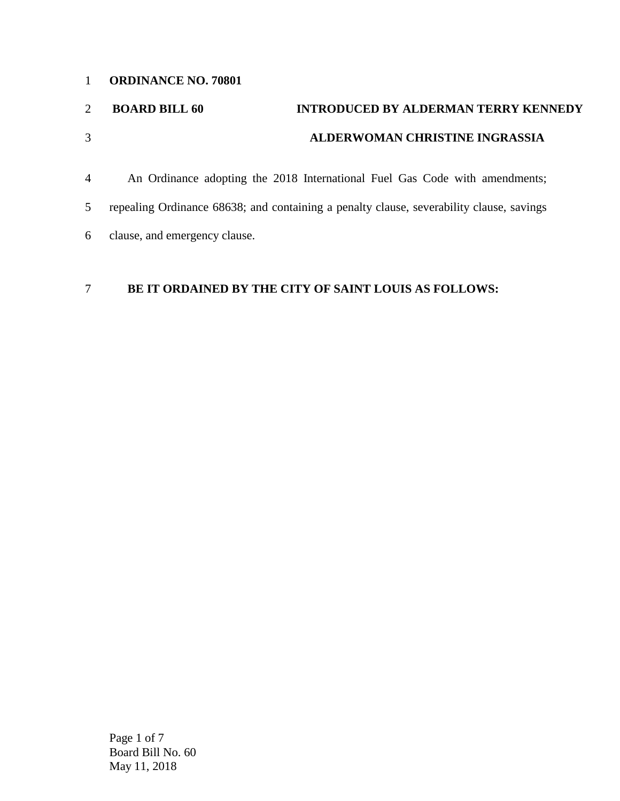#### **ORDINANCE NO. 70801**

# **BOARD BILL 60 INTRODUCED BY ALDERMAN TERRY KENNEDY ALDERWOMAN CHRISTINE INGRASSIA**

 An Ordinance adopting the 2018 International Fuel Gas Code with amendments; repealing Ordinance 68638; and containing a penalty clause, severability clause, savings clause, and emergency clause.

## **BE IT ORDAINED BY THE CITY OF SAINT LOUIS AS FOLLOWS:**

Page 1 of 7 Board Bill No. 60 May 11, 2018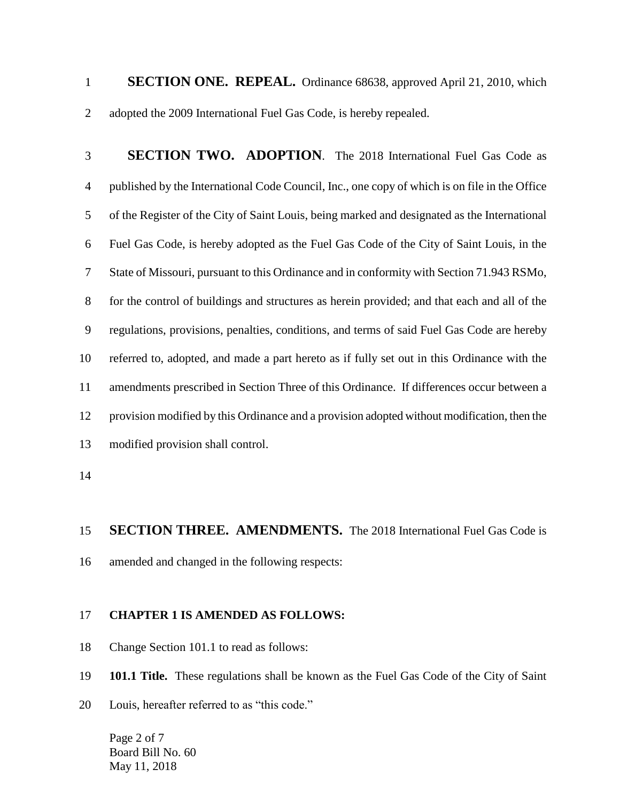**SECTION ONE. REPEAL.** Ordinance 68638, approved April 21, 2010, which adopted the 2009 International Fuel Gas Code, is hereby repealed.

 **SECTION TWO. ADOPTION**. The 2018 International Fuel Gas Code as published by the International Code Council, Inc., one copy of which is on file in the Office of the Register of the City of Saint Louis, being marked and designated as the International Fuel Gas Code, is hereby adopted as the Fuel Gas Code of the City of Saint Louis, in the State of Missouri, pursuant to this Ordinance and in conformity with Section 71.943 RSMo, for the control of buildings and structures as herein provided; and that each and all of the regulations, provisions, penalties, conditions, and terms of said Fuel Gas Code are hereby referred to, adopted, and made a part hereto as if fully set out in this Ordinance with the amendments prescribed in Section Three of this Ordinance. If differences occur between a provision modified by this Ordinance and a provision adopted without modification, then the modified provision shall control.

## **SECTION THREE. AMENDMENTS.** The 2018 International Fuel Gas Code is

amended and changed in the following respects:

#### **CHAPTER 1 IS AMENDED AS FOLLOWS:**

Change Section 101.1 to read as follows:

**101.1 Title.** These regulations shall be known as the Fuel Gas Code of the City of Saint

Louis, hereafter referred to as "this code."

Page 2 of 7 Board Bill No. 60 May 11, 2018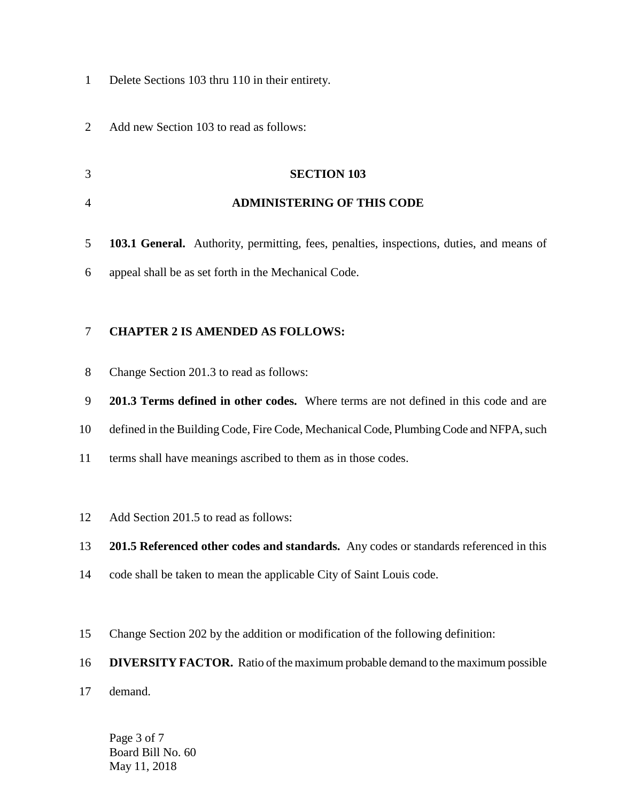- Delete Sections 103 thru 110 in their entirety.
- Add new Section 103 to read as follows:
- **SECTION 103 ADMINISTERING OF THIS CODE**
- **103.1 General.** Authority, permitting, fees, penalties, inspections, duties, and means of appeal shall be as set forth in the Mechanical Code.

## **CHAPTER 2 IS AMENDED AS FOLLOWS:**

- Change Section 201.3 to read as follows:
- **201.3 Terms defined in other codes.** Where terms are not defined in this code and are
- defined in the Building Code, Fire Code, Mechanical Code, Plumbing Code and NFPA, such
- terms shall have meanings ascribed to them as in those codes.
- Add Section 201.5 to read as follows:
- **201.5 Referenced other codes and standards.** Any codes or standards referenced in this
- code shall be taken to mean the applicable City of Saint Louis code.
- Change Section 202 by the addition or modification of the following definition:
- **DIVERSITY FACTOR.** Ratio of the maximum probable demand to the maximum possible
- demand.

Page 3 of 7 Board Bill No. 60 May 11, 2018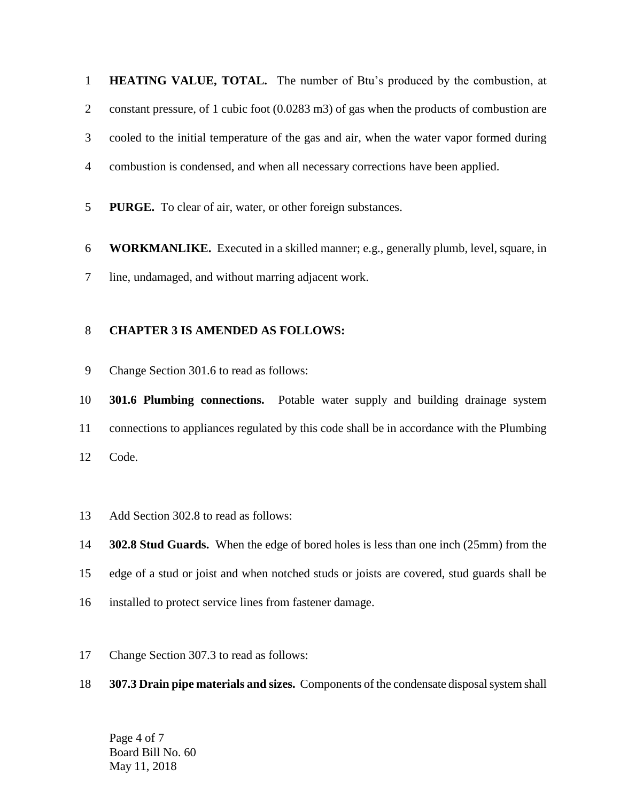**HEATING VALUE, TOTAL.** The number of Btu's produced by the combustion, at constant pressure, of 1 cubic foot (0.0283 m3) of gas when the products of combustion are cooled to the initial temperature of the gas and air, when the water vapor formed during combustion is condensed, and when all necessary corrections have been applied.

**PURGE.** To clear of air, water, or other foreign substances.

 **WORKMANLIKE.** Executed in a skilled manner; e.g., generally plumb, level, square, in line, undamaged, and without marring adjacent work.

### **CHAPTER 3 IS AMENDED AS FOLLOWS:**

Change Section 301.6 to read as follows:

 **301.6 Plumbing connections.** Potable water supply and building drainage system connections to appliances regulated by this code shall be in accordance with the Plumbing Code.

Add Section 302.8 to read as follows:

**302.8 Stud Guards.** When the edge of bored holes is less than one inch (25mm) from the

- edge of a stud or joist and when notched studs or joists are covered, stud guards shall be
- installed to protect service lines from fastener damage.
- Change Section 307.3 to read as follows:
- **307.3 Drain pipe materials and sizes.** Components of the condensate disposal system shall

Page 4 of 7 Board Bill No. 60 May 11, 2018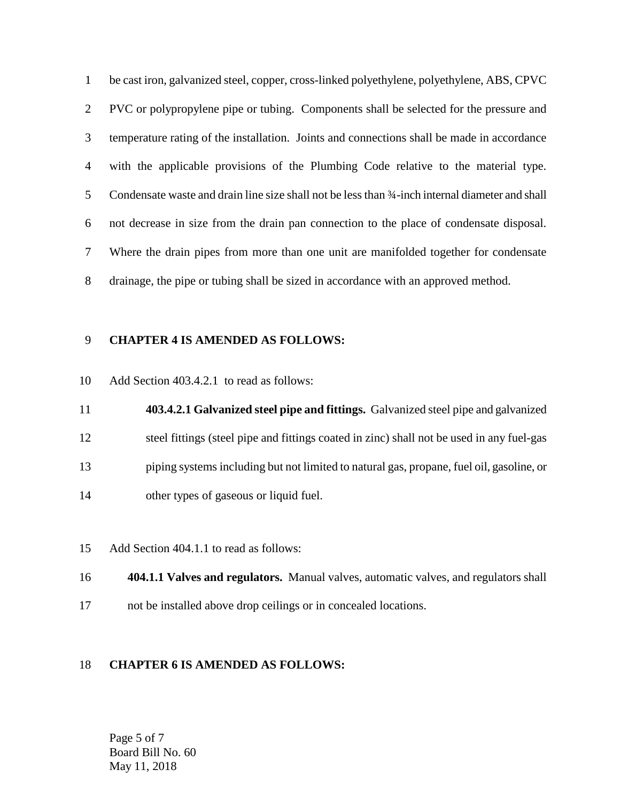be cast iron, galvanized steel, copper, cross-linked polyethylene, polyethylene, ABS, CPVC PVC or polypropylene pipe or tubing. Components shall be selected for the pressure and temperature rating of the installation. Joints and connections shall be made in accordance with the applicable provisions of the Plumbing Code relative to the material type. 5 Condensate waste and drain line size shall not be less than 3/4-inch internal diameter and shall not decrease in size from the drain pan connection to the place of condensate disposal. Where the drain pipes from more than one unit are manifolded together for condensate drainage, the pipe or tubing shall be sized in accordance with an approved method.

#### **CHAPTER 4 IS AMENDED AS FOLLOWS:**

Add Section 403.4.2.1 to read as follows:

 **403.4.2.1 Galvanized steel pipe and fittings.** Galvanized steel pipe and galvanized steel fittings (steel pipe and fittings coated in zinc) shall not be used in any fuel-gas piping systems including but not limited to natural gas, propane, fuel oil, gasoline, or other types of gaseous or liquid fuel.

- Add Section 404.1.1 to read as follows:
- **404.1.1 Valves and regulators.** Manual valves, automatic valves, and regulators shall
- not be installed above drop ceilings or in concealed locations.

#### **CHAPTER 6 IS AMENDED AS FOLLOWS:**

Page 5 of 7 Board Bill No. 60 May 11, 2018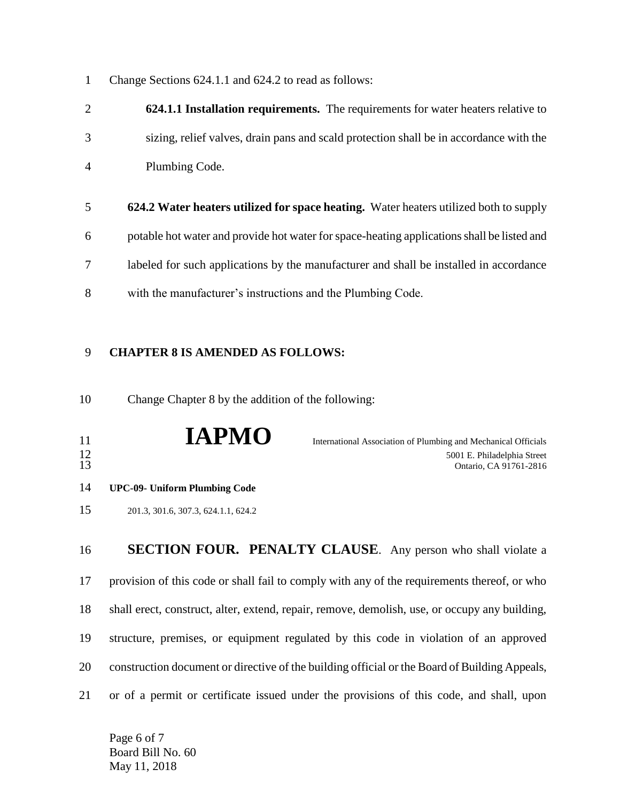Change Sections 624.1.1 and 624.2 to read as follows:

|                | <b>624.1.1 Installation requirements.</b> The requirements for water heaters relative to |
|----------------|------------------------------------------------------------------------------------------|
| 3              | sizing, relief valves, drain pans and scald protection shall be in accordance with the   |
| $\overline{4}$ | Plumbing Code.                                                                           |

 **624.2 Water heaters utilized for space heating.** Water heaters utilized both to supply potable hot water and provide hot water for space-heating applications shall be listed and labeled for such applications by the manufacturer and shall be installed in accordance with the manufacturer's instructions and the Plumbing Code.

## **CHAPTER 8 IS AMENDED AS FOLLOWS:**

Change Chapter 8 by the addition of the following:

| 11<br>$\frac{12}{13}$ | <b>IAPMO</b>                         | International Association of Plumbing and Mechanical Officials<br>5001 E. Philadelphia Street<br>Ontario, CA 91761-2816 |
|-----------------------|--------------------------------------|-------------------------------------------------------------------------------------------------------------------------|
| 14                    | <b>UPC-09- Uniform Plumbing Code</b> |                                                                                                                         |
| 15                    | 201.3, 301.6, 307.3, 624.1.1, 624.2  |                                                                                                                         |
|                       |                                      |                                                                                                                         |

 **SECTION FOUR. PENALTY CLAUSE**. Any person who shall violate a provision of this code or shall fail to comply with any of the requirements thereof, or who shall erect, construct, alter, extend, repair, remove, demolish, use, or occupy any building, structure, premises, or equipment regulated by this code in violation of an approved construction document or directive of the building official or the Board of Building Appeals, or of a permit or certificate issued under the provisions of this code, and shall, upon

Page 6 of 7 Board Bill No. 60 May 11, 2018